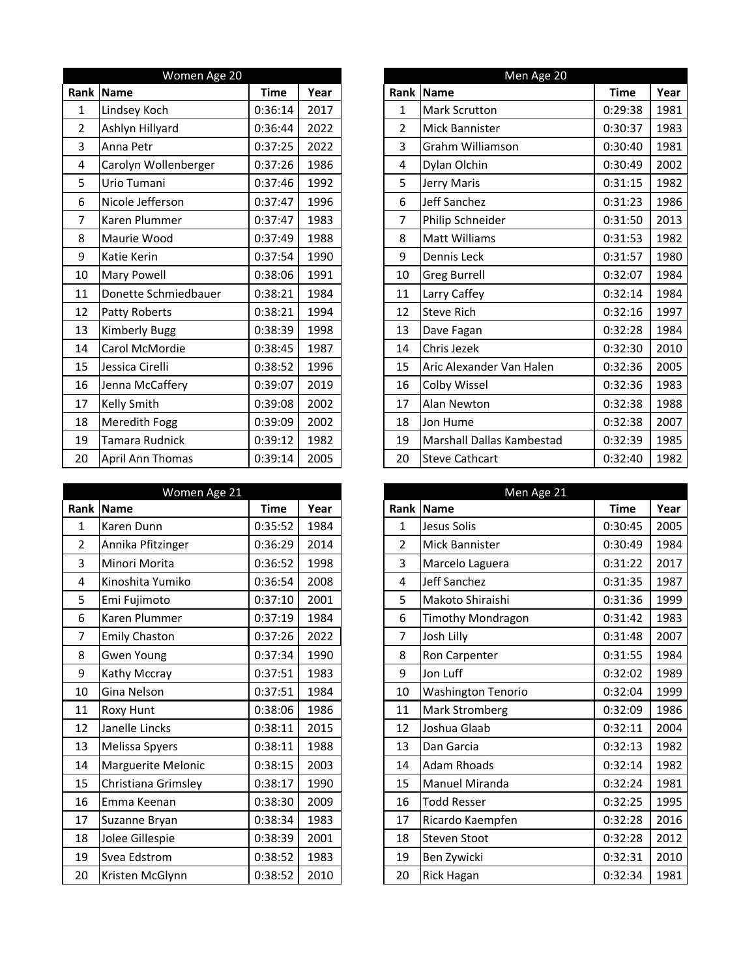|                | Women Age 20            |             |      |  |  |  |  |  |  |  |
|----------------|-------------------------|-------------|------|--|--|--|--|--|--|--|
| Rank           | <b>Name</b>             | <b>Time</b> | Year |  |  |  |  |  |  |  |
| 1              | Lindsey Koch            | 0:36:14     | 2017 |  |  |  |  |  |  |  |
| $\overline{2}$ | Ashlyn Hillyard         | 0:36:44     | 2022 |  |  |  |  |  |  |  |
| 3              | Anna Petr               | 0:37:25     | 2022 |  |  |  |  |  |  |  |
| 4              | Carolyn Wollenberger    | 0:37:26     | 1986 |  |  |  |  |  |  |  |
| 5              | Urio Tumani             | 0:37:46     | 1992 |  |  |  |  |  |  |  |
| 6              | Nicole Jefferson        | 0:37:47     | 1996 |  |  |  |  |  |  |  |
| 7              | Karen Plummer           | 0:37:47     | 1983 |  |  |  |  |  |  |  |
| 8              | Maurie Wood             | 0:37:49     | 1988 |  |  |  |  |  |  |  |
| 9              | Katie Kerin             | 0:37:54     | 1990 |  |  |  |  |  |  |  |
| 10             | Mary Powell             | 0:38:06     | 1991 |  |  |  |  |  |  |  |
| 11             | Donette Schmiedbauer    | 0:38:21     | 1984 |  |  |  |  |  |  |  |
| 12             | Patty Roberts           | 0:38:21     | 1994 |  |  |  |  |  |  |  |
| 13             | <b>Kimberly Bugg</b>    | 0:38:39     | 1998 |  |  |  |  |  |  |  |
| 14             | Carol McMordie          | 0:38:45     | 1987 |  |  |  |  |  |  |  |
| 15             | Jessica Cirelli         | 0:38:52     | 1996 |  |  |  |  |  |  |  |
| 16             | Jenna McCaffery         | 0:39:07     | 2019 |  |  |  |  |  |  |  |
| 17             | <b>Kelly Smith</b>      | 0:39:08     | 2002 |  |  |  |  |  |  |  |
| 18             | <b>Meredith Fogg</b>    | 0:39:09     | 2002 |  |  |  |  |  |  |  |
| 19             | Tamara Rudnick          | 0:39:12     | 1982 |  |  |  |  |  |  |  |
| 20             | <b>April Ann Thomas</b> | 0:39:14     | 2005 |  |  |  |  |  |  |  |

|                | Women Age 21         |             |      |                | Men Age 21                |
|----------------|----------------------|-------------|------|----------------|---------------------------|
|                | Rank Name            | <b>Time</b> | Year | Rank           | <b>Name</b>               |
| $\mathbf{1}$   | <b>Karen Dunn</b>    | 0:35:52     | 1984 | $\mathbf{1}$   | Jesus Solis               |
| $\overline{2}$ | Annika Pfitzinger    | 0:36:29     | 2014 | $\overline{2}$ | Mick Bannister            |
| 3              | Minori Morita        | 0:36:52     | 1998 | 3              | Marcelo Laguera           |
| 4              | Kinoshita Yumiko     | 0:36:54     | 2008 | 4              | Jeff Sanchez              |
| 5              | Emi Fujimoto         | 0:37:10     | 2001 | 5              | Makoto Shiraishi          |
| 6              | Karen Plummer        | 0:37:19     | 1984 | 6              | <b>Timothy Mondragon</b>  |
| $\overline{7}$ | <b>Emily Chaston</b> | 0:37:26     | 2022 | 7              | Josh Lilly                |
| 8              | <b>Gwen Young</b>    | 0:37:34     | 1990 | 8              | Ron Carpenter             |
| 9              | Kathy Mccray         | 0:37:51     | 1983 | 9              | Jon Luff                  |
| 10             | Gina Nelson          | 0:37:51     | 1984 | 10             | <b>Washington Tenorio</b> |
| 11             | Roxy Hunt            | 0:38:06     | 1986 | 11             | Mark Stromberg            |
| 12             | Janelle Lincks       | 0:38:11     | 2015 | 12             | Joshua Glaab              |
| 13             | Melissa Spyers       | 0:38:11     | 1988 | 13             | Dan Garcia                |
| 14             | Marguerite Melonic   | 0:38:15     | 2003 | 14             | <b>Adam Rhoads</b>        |
| 15             | Christiana Grimsley  | 0:38:17     | 1990 | 15             | <b>Manuel Miranda</b>     |
| 16             | Emma Keenan          | 0:38:30     | 2009 | 16             | <b>Todd Resser</b>        |
| 17             | Suzanne Bryan        | 0:38:34     | 1983 | 17             | Ricardo Kaempfen          |
| 18             | Jolee Gillespie      | 0:38:39     | 2001 | 18             | <b>Steven Stoot</b>       |
| 19             | Svea Edstrom         | 0:38:52     | 1983 | 19             | Ben Zywicki               |
| 20             | Kristen McGlynn      | 0:38:52     | 2010 | 20             | <b>Rick Hagan</b>         |

|                | Women Age 20         |             |      |                | Men Age 20                |             |      |
|----------------|----------------------|-------------|------|----------------|---------------------------|-------------|------|
|                | Rank Name            | <b>Time</b> | Year | Rank           | Name                      | <b>Time</b> | Year |
| 1              | Lindsey Koch         | 0:36:14     | 2017 | $\mathbf{1}$   | <b>Mark Scrutton</b>      | 0:29:38     | 1981 |
| $\overline{2}$ | Ashlyn Hillyard      | 0:36:44     | 2022 | $\overline{2}$ | <b>Mick Bannister</b>     | 0:30:37     | 1983 |
| 3              | Anna Petr            | 0:37:25     | 2022 | 3              | Grahm Williamson          | 0:30:40     | 1981 |
| 4              | Carolyn Wollenberger | 0:37:26     | 1986 | 4              | Dylan Olchin              | 0:30:49     | 2002 |
| 5              | Urio Tumani          | 0:37:46     | 1992 | 5              | Jerry Maris               | 0:31:15     | 1982 |
| 6              | Nicole Jefferson     | 0:37:47     | 1996 | 6              | Jeff Sanchez              | 0:31:23     | 1986 |
| 7              | Karen Plummer        | 0:37:47     | 1983 | 7              | Philip Schneider          | 0:31:50     | 2013 |
| 8              | Maurie Wood          | 0:37:49     | 1988 | 8              | <b>Matt Williams</b>      | 0:31:53     | 1982 |
| 9              | <b>Katie Kerin</b>   | 0:37:54     | 1990 | 9              | Dennis Leck               | 0:31:57     | 1980 |
| 10             | <b>Mary Powell</b>   | 0:38:06     | 1991 | 10             | <b>Greg Burrell</b>       | 0:32:07     | 1984 |
| 11             | Donette Schmiedbauer | 0:38:21     | 1984 | 11             | Larry Caffey              | 0:32:14     | 1984 |
| 12             | <b>Patty Roberts</b> | 0:38:21     | 1994 | 12             | <b>Steve Rich</b>         | 0:32:16     | 1997 |
| 13             | <b>Kimberly Bugg</b> | 0:38:39     | 1998 | 13             | Dave Fagan                | 0:32:28     | 1984 |
| 14             | Carol McMordie       | 0:38:45     | 1987 | 14             | Chris Jezek               | 0:32:30     | 2010 |
| 15             | Jessica Cirelli      | 0:38:52     | 1996 | 15             | Aric Alexander Van Halen  | 0:32:36     | 2005 |
| 16             | Jenna McCaffery      | 0:39:07     | 2019 | 16             | Colby Wissel              | 0:32:36     | 1983 |
| 17             | <b>Kelly Smith</b>   | 0:39:08     | 2002 | 17             | <b>Alan Newton</b>        | 0:32:38     | 1988 |
| 18             | <b>Meredith Fogg</b> | 0:39:09     | 2002 | 18             | Jon Hume                  | 0:32:38     | 2007 |
| 19             | Tamara Rudnick       | 0:39:12     | 1982 | 19             | Marshall Dallas Kambestad | 0:32:39     | 1985 |
| 20             | April Ann Thomas     | 0:39:14     | 2005 | 20             | <b>Steve Cathcart</b>     | 0:32:40     | 1982 |

|                | Women Age 21              |             |      |                | Men Age 21                |             |      |
|----------------|---------------------------|-------------|------|----------------|---------------------------|-------------|------|
| Rank           | Name                      | <b>Time</b> | Year | Rank           | <b>Name</b>               | <b>Time</b> | Year |
| $\mathbf 1$    | Karen Dunn                | 0:35:52     | 1984 | 1              | Jesus Solis               | 0:30:45     | 2005 |
| $\overline{2}$ | Annika Pfitzinger         | 0:36:29     | 2014 | $\overline{2}$ | <b>Mick Bannister</b>     | 0:30:49     | 1984 |
| 3              | Minori Morita             | 0:36:52     | 1998 | 3              | Marcelo Laguera           | 0:31:22     | 2017 |
| 4              | Kinoshita Yumiko          | 0:36:54     | 2008 | $\overline{4}$ | Jeff Sanchez              | 0:31:35     | 1987 |
| 5              | Emi Fujimoto              | 0:37:10     | 2001 | 5              | Makoto Shiraishi          | 0:31:36     | 1999 |
| 6              | Karen Plummer             | 0:37:19     | 1984 | 6              | <b>Timothy Mondragon</b>  | 0:31:42     | 1983 |
| 7              | <b>Emily Chaston</b>      | 0:37:26     | 2022 | 7              | Josh Lilly                | 0:31:48     | 2007 |
| 8              | <b>Gwen Young</b>         | 0:37:34     | 1990 | 8              | Ron Carpenter             | 0:31:55     | 1984 |
| 9              | Kathy Mccray              | 0:37:51     | 1983 | 9              | Jon Luff                  | 0:32:02     | 1989 |
| 10             | Gina Nelson               | 0:37:51     | 1984 | 10             | <b>Washington Tenorio</b> | 0:32:04     | 1999 |
| 11             | Roxy Hunt                 | 0:38:06     | 1986 | 11             | <b>Mark Stromberg</b>     | 0:32:09     | 1986 |
| 12             | Janelle Lincks            | 0:38:11     | 2015 | 12             | Joshua Glaab              | 0:32:11     | 2004 |
| 13             | Melissa Spyers            | 0:38:11     | 1988 | 13             | Dan Garcia                | 0:32:13     | 1982 |
| 14             | <b>Marguerite Melonic</b> | 0:38:15     | 2003 | 14             | <b>Adam Rhoads</b>        | 0:32:14     | 1982 |
| 15             | Christiana Grimsley       | 0:38:17     | 1990 | 15             | Manuel Miranda            | 0:32:24     | 1981 |
| 16             | Emma Keenan               | 0:38:30     | 2009 | 16             | <b>Todd Resser</b>        | 0:32:25     | 1995 |
| 17             | Suzanne Bryan             | 0:38:34     | 1983 | 17             | Ricardo Kaempfen          | 0:32:28     | 2016 |
| 18             | Jolee Gillespie           | 0:38:39     | 2001 | 18             | <b>Steven Stoot</b>       | 0:32:28     | 2012 |
| 19             | Svea Edstrom              | 0:38:52     | 1983 | 19             | Ben Zywicki               | 0:32:31     | 2010 |
| 20             | Kristen McGlynn           | 0:38:52     | 2010 | 20             | <b>Rick Hagan</b>         | 0:32:34     | 1981 |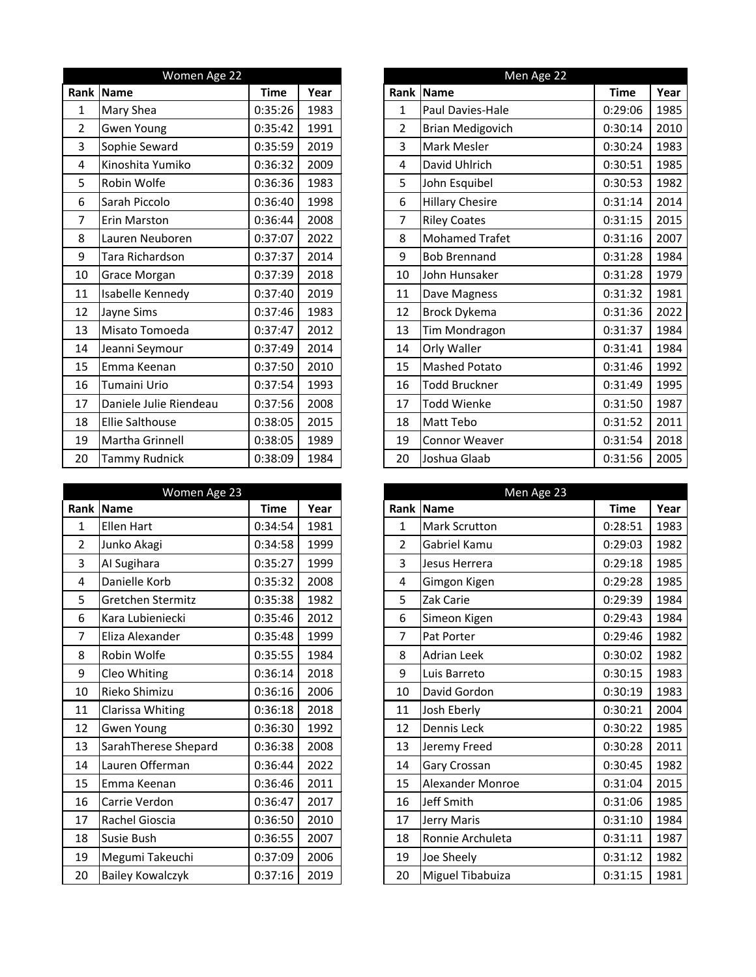|                | Women Age 22           |             |      |  |  |  |  |  |  |  |
|----------------|------------------------|-------------|------|--|--|--|--|--|--|--|
| Rank           | <b>Name</b>            | <b>Time</b> | Year |  |  |  |  |  |  |  |
| 1              | Mary Shea              | 0:35:26     | 1983 |  |  |  |  |  |  |  |
| $\overline{2}$ | <b>Gwen Young</b>      | 0:35:42     | 1991 |  |  |  |  |  |  |  |
| 3              | Sophie Seward          | 0:35:59     | 2019 |  |  |  |  |  |  |  |
| 4              | Kinoshita Yumiko       | 0:36:32     | 2009 |  |  |  |  |  |  |  |
| 5              | Robin Wolfe            | 0:36:36     | 1983 |  |  |  |  |  |  |  |
| 6              | Sarah Piccolo          | 0:36:40     | 1998 |  |  |  |  |  |  |  |
| $\overline{7}$ | Erin Marston           | 0:36:44     | 2008 |  |  |  |  |  |  |  |
| 8              | Lauren Neuboren        | 0:37:07     | 2022 |  |  |  |  |  |  |  |
| 9              | Tara Richardson        | 0:37:37     | 2014 |  |  |  |  |  |  |  |
| 10             | Grace Morgan           | 0:37:39     | 2018 |  |  |  |  |  |  |  |
| 11             | Isabelle Kennedy       | 0:37:40     | 2019 |  |  |  |  |  |  |  |
| 12             | Jayne Sims             | 0:37:46     | 1983 |  |  |  |  |  |  |  |
| 13             | Misato Tomoeda         | 0:37:47     | 2012 |  |  |  |  |  |  |  |
| 14             | Jeanni Seymour         | 0:37:49     | 2014 |  |  |  |  |  |  |  |
| 15             | Emma Keenan            | 0:37:50     | 2010 |  |  |  |  |  |  |  |
| 16             | Tumaini Urio           | 0:37:54     | 1993 |  |  |  |  |  |  |  |
| 17             | Daniele Julie Riendeau | 0:37:56     | 2008 |  |  |  |  |  |  |  |
| 18             | <b>Ellie Salthouse</b> | 0:38:05     | 2015 |  |  |  |  |  |  |  |
| 19             | Martha Grinnell        | 0:38:05     | 1989 |  |  |  |  |  |  |  |
| 20             | <b>Tammy Rudnick</b>   | 0:38:09     | 1984 |  |  |  |  |  |  |  |

|                | Women Age 23            |             |      |                | Men Age 23              |
|----------------|-------------------------|-------------|------|----------------|-------------------------|
|                | <b>Rank Name</b>        | <b>Time</b> | Year | Rank           | <b>Name</b>             |
| $\mathbf 1$    | <b>Ellen Hart</b>       | 0:34:54     | 1981 | 1              | <b>Mark Scrutton</b>    |
| $\overline{2}$ | Junko Akagi             | 0:34:58     | 1999 | $\overline{2}$ | Gabriel Kamu            |
| 3              | AI Sugihara             | 0:35:27     | 1999 | 3              | Jesus Herrera           |
| 4              | Danielle Korb           | 0:35:32     | 2008 | 4              | Gimgon Kigen            |
| 5              | Gretchen Stermitz       | 0:35:38     | 1982 | 5              | Zak Carie               |
| 6              | Kara Lubieniecki        | 0:35:46     | 2012 | 6              | Simeon Kigen            |
| 7              | Eliza Alexander         | 0:35:48     | 1999 | $\overline{7}$ | Pat Porter              |
| 8              | Robin Wolfe             | 0:35:55     | 1984 | 8              | <b>Adrian Leek</b>      |
| 9              | Cleo Whiting            | 0:36:14     | 2018 | 9              | Luis Barreto            |
| 10             | Rieko Shimizu           | 0:36:16     | 2006 | 10             | David Gordon            |
| 11             | Clarissa Whiting        | 0:36:18     | 2018 | 11             | Josh Eberly             |
| 12             | <b>Gwen Young</b>       | 0:36:30     | 1992 | 12             | Dennis Leck             |
| 13             | SarahTherese Shepard    | 0:36:38     | 2008 | 13             | Jeremy Freed            |
| 14             | Lauren Offerman         | 0:36:44     | 2022 | 14             | Gary Crossan            |
| 15             | Emma Keenan             | 0:36:46     | 2011 | 15             | <b>Alexander Monroe</b> |
| 16             | Carrie Verdon           | 0:36:47     | 2017 | 16             | Jeff Smith              |
| 17             | Rachel Gioscia          | 0:36:50     | 2010 | 17             | Jerry Maris             |
| 18             | Susie Bush              | 0:36:55     | 2007 | 18             | Ronnie Archuleta        |
| 19             | Megumi Takeuchi         | 0:37:09     | 2006 | 19             | Joe Sheely              |
| 20             | <b>Bailey Kowalczyk</b> | 0:37:16     | 2019 | 20             | Miguel Tibabuiza        |

|                | Women Age 22           |             |      |                | Men Age 22              |             |      |
|----------------|------------------------|-------------|------|----------------|-------------------------|-------------|------|
| Rank           | Name                   | <b>Time</b> | Year |                | Rank Name               | <b>Time</b> | Year |
| 1              | Mary Shea              | 0:35:26     | 1983 | $\mathbf{1}$   | Paul Davies-Hale        | 0:29:06     | 1985 |
| $\overline{2}$ | <b>Gwen Young</b>      | 0:35:42     | 1991 | $\overline{2}$ | <b>Brian Medigovich</b> | 0:30:14     | 2010 |
| 3              | Sophie Seward          | 0:35:59     | 2019 | 3              | <b>Mark Mesler</b>      | 0:30:24     | 1983 |
| 4              | Kinoshita Yumiko       | 0:36:32     | 2009 | $\overline{4}$ | David Uhlrich           | 0:30:51     | 1985 |
| 5              | Robin Wolfe            | 0:36:36     | 1983 | 5              | John Esquibel           | 0:30:53     | 1982 |
| 6              | Sarah Piccolo          | 0:36:40     | 1998 | 6              | <b>Hillary Chesire</b>  | 0:31:14     | 2014 |
| 7              | <b>Erin Marston</b>    | 0:36:44     | 2008 | 7              | <b>Riley Coates</b>     | 0:31:15     | 2015 |
| 8              | Lauren Neuboren        | 0:37:07     | 2022 | 8              | <b>Mohamed Trafet</b>   | 0:31:16     | 2007 |
| 9              | Tara Richardson        | 0:37:37     | 2014 | 9              | <b>Bob Brennand</b>     | 0:31:28     | 1984 |
| 10             | <b>Grace Morgan</b>    | 0:37:39     | 2018 | 10             | John Hunsaker           | 0:31:28     | 1979 |
| 11             | Isabelle Kennedy       | 0:37:40     | 2019 | 11             | Dave Magness            | 0:31:32     | 1981 |
| 12             | Jayne Sims             | 0:37:46     | 1983 | 12             | <b>Brock Dykema</b>     | 0:31:36     | 2022 |
| 13             | Misato Tomoeda         | 0:37:47     | 2012 | 13             | Tim Mondragon           | 0:31:37     | 1984 |
| 14             | Jeanni Seymour         | 0:37:49     | 2014 | 14             | Orly Waller             | 0:31:41     | 1984 |
| 15             | Emma Keenan            | 0:37:50     | 2010 | 15             | <b>Mashed Potato</b>    | 0:31:46     | 1992 |
| 16             | Tumaini Urio           | 0:37:54     | 1993 | 16             | <b>Todd Bruckner</b>    | 0:31:49     | 1995 |
| 17             | Daniele Julie Riendeau | 0:37:56     | 2008 | 17             | <b>Todd Wienke</b>      | 0:31:50     | 1987 |
| 18             | <b>Ellie Salthouse</b> | 0:38:05     | 2015 | 18             | Matt Tebo               | 0:31:52     | 2011 |
| 19             | Martha Grinnell        | 0:38:05     | 1989 | 19             | <b>Connor Weaver</b>    | 0:31:54     | 2018 |
| 20             | <b>Tammy Rudnick</b>   | 0:38:09     | 1984 | 20             | Joshua Glaab            | 0:31:56     | 2005 |

|                | Women Age 23            |             |      |                | Men Age 23           |             |      |
|----------------|-------------------------|-------------|------|----------------|----------------------|-------------|------|
| Rank           | Name                    | <b>Time</b> | Year | Rank           | Name                 | <b>Time</b> | Year |
| 1              | Ellen Hart              | 0:34:54     | 1981 | $\mathbf{1}$   | <b>Mark Scrutton</b> | 0:28:51     | 1983 |
| $\overline{2}$ | Junko Akagi             | 0:34:58     | 1999 | $\overline{2}$ | Gabriel Kamu         | 0:29:03     | 1982 |
| 3              | Al Sugihara             | 0:35:27     | 1999 | 3              | Jesus Herrera        | 0:29:18     | 1985 |
| 4              | Danielle Korb           | 0:35:32     | 2008 | 4              | Gimgon Kigen         | 0:29:28     | 1985 |
| 5              | Gretchen Stermitz       | 0:35:38     | 1982 | 5              | Zak Carie            | 0:29:39     | 1984 |
| 6              | Kara Lubieniecki        | 0:35:46     | 2012 | 6              | Simeon Kigen         | 0:29:43     | 1984 |
| 7              | Eliza Alexander         | 0:35:48     | 1999 | $\overline{7}$ | Pat Porter           | 0:29:46     | 1982 |
| 8              | Robin Wolfe             | 0:35:55     | 1984 | 8              | <b>Adrian Leek</b>   | 0:30:02     | 1982 |
| 9              | Cleo Whiting            | 0:36:14     | 2018 | $9\,$          | Luis Barreto         | 0:30:15     | 1983 |
| 10             | Rieko Shimizu           | 0:36:16     | 2006 | 10             | David Gordon         | 0:30:19     | 1983 |
| 11             | Clarissa Whiting        | 0:36:18     | 2018 | 11             | Josh Eberly          | 0:30:21     | 2004 |
| 12             | <b>Gwen Young</b>       | 0:36:30     | 1992 | 12             | <b>Dennis Leck</b>   | 0:30:22     | 1985 |
| 13             | SarahTherese Shepard    | 0:36:38     | 2008 | 13             | Jeremy Freed         | 0:30:28     | 2011 |
| 14             | Lauren Offerman         | 0:36:44     | 2022 | 14             | Gary Crossan         | 0:30:45     | 1982 |
| 15             | Emma Keenan             | 0:36:46     | 2011 | 15             | Alexander Monroe     | 0:31:04     | 2015 |
| 16             | Carrie Verdon           | 0:36:47     | 2017 | 16             | Jeff Smith           | 0:31:06     | 1985 |
| 17             | Rachel Gioscia          | 0:36:50     | 2010 | 17             | Jerry Maris          | 0:31:10     | 1984 |
| 18             | Susie Bush              | 0:36:55     | 2007 | 18             | Ronnie Archuleta     | 0:31:11     | 1987 |
| 19             | Megumi Takeuchi         | 0:37:09     | 2006 | 19             | Joe Sheely           | 0:31:12     | 1982 |
| 20             | <b>Bailey Kowalczyk</b> | 0:37:16     | 2019 | 20             | Miguel Tibabuiza     | 0:31:15     | 1981 |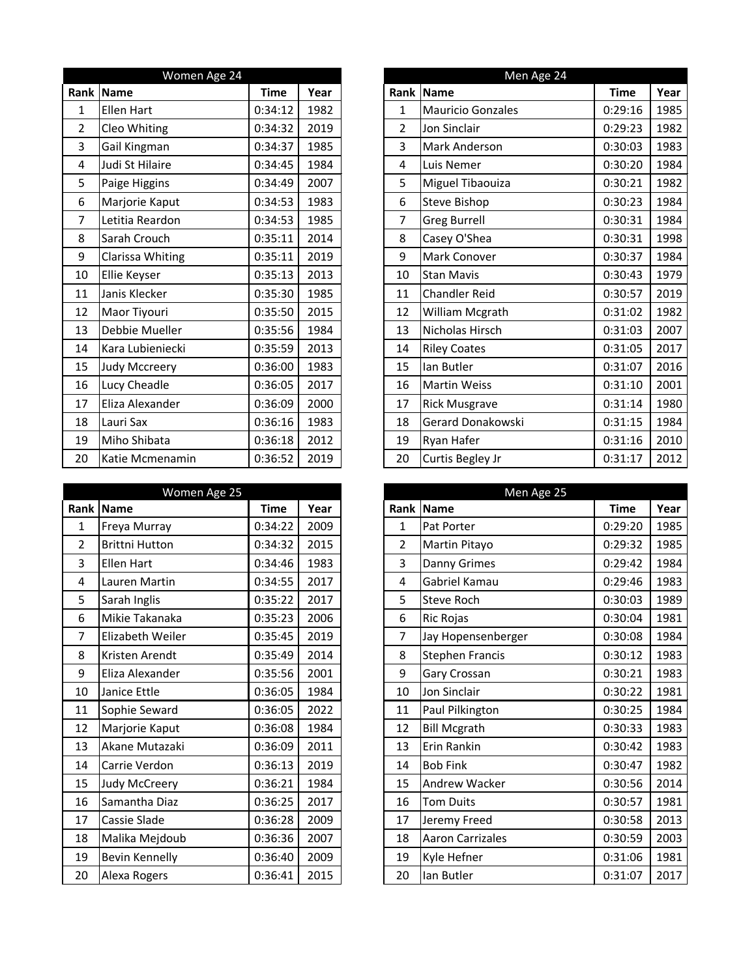|                | Women Age 24         |             |      |  |  |  |  |  |  |  |
|----------------|----------------------|-------------|------|--|--|--|--|--|--|--|
| Rank           | <b>Name</b>          | <b>Time</b> | Year |  |  |  |  |  |  |  |
| $\mathbf{1}$   | <b>Ellen Hart</b>    | 0:34:12     | 1982 |  |  |  |  |  |  |  |
| $\overline{2}$ | Cleo Whiting         | 0:34:32     | 2019 |  |  |  |  |  |  |  |
| 3              | Gail Kingman         | 0:34:37     | 1985 |  |  |  |  |  |  |  |
| 4              | Judi St Hilaire      | 0:34:45     | 1984 |  |  |  |  |  |  |  |
| 5              | Paige Higgins        | 0:34:49     | 2007 |  |  |  |  |  |  |  |
| 6              | Marjorie Kaput       | 0:34:53     | 1983 |  |  |  |  |  |  |  |
| $\overline{7}$ | Letitia Reardon      | 0:34:53     | 1985 |  |  |  |  |  |  |  |
| 8              | Sarah Crouch         | 0:35:11     | 2014 |  |  |  |  |  |  |  |
| 9              | Clarissa Whiting     | 0:35:11     | 2019 |  |  |  |  |  |  |  |
| 10             | Ellie Keyser         | 0:35:13     | 2013 |  |  |  |  |  |  |  |
| 11             | Janis Klecker        | 0:35:30     | 1985 |  |  |  |  |  |  |  |
| 12             | Maor Tiyouri         | 0:35:50     | 2015 |  |  |  |  |  |  |  |
| 13             | Debbie Mueller       | 0:35:56     | 1984 |  |  |  |  |  |  |  |
| 14             | Kara Lubieniecki     | 0:35:59     | 2013 |  |  |  |  |  |  |  |
| 15             | <b>Judy Mccreery</b> | 0:36:00     | 1983 |  |  |  |  |  |  |  |
| 16             | Lucy Cheadle         | 0:36:05     | 2017 |  |  |  |  |  |  |  |
| 17             | Eliza Alexander      | 0:36:09     | 2000 |  |  |  |  |  |  |  |
| 18             | Lauri Sax            | 0:36:16     | 1983 |  |  |  |  |  |  |  |
| 19             | Miho Shibata         | 0:36:18     | 2012 |  |  |  |  |  |  |  |
| 20             | Katie Mcmenamin      | 0:36:52     | 2019 |  |  |  |  |  |  |  |

|                | Women Age 25          |             |      |  |  |  |  |  |  |  |
|----------------|-----------------------|-------------|------|--|--|--|--|--|--|--|
| Rank           | <b>Name</b>           | <b>Time</b> | Year |  |  |  |  |  |  |  |
| 1              | Freya Murray          | 0:34:22     | 2009 |  |  |  |  |  |  |  |
| $\overline{2}$ | <b>Brittni Hutton</b> | 0:34:32     | 2015 |  |  |  |  |  |  |  |
| 3              | <b>Ellen Hart</b>     | 0:34:46     | 1983 |  |  |  |  |  |  |  |
| 4              | Lauren Martin         | 0:34:55     | 2017 |  |  |  |  |  |  |  |
| 5              | Sarah Inglis          | 0:35:22     | 2017 |  |  |  |  |  |  |  |
| 6              | Mikie Takanaka        | 0:35:23     | 2006 |  |  |  |  |  |  |  |
| 7              | Elizabeth Weiler      | 0:35:45     | 2019 |  |  |  |  |  |  |  |
| 8              | Kristen Arendt        | 0:35:49     | 2014 |  |  |  |  |  |  |  |
| 9              | Eliza Alexander       | 0:35:56     | 2001 |  |  |  |  |  |  |  |
| 10             | Janice Ettle          | 0:36:05     | 1984 |  |  |  |  |  |  |  |
| 11             | Sophie Seward         | 0:36:05     | 2022 |  |  |  |  |  |  |  |
| 12             | Marjorie Kaput        | 0:36:08     | 1984 |  |  |  |  |  |  |  |
| 13             | Akane Mutazaki        | 0:36:09     | 2011 |  |  |  |  |  |  |  |
| 14             | Carrie Verdon         | 0:36:13     | 2019 |  |  |  |  |  |  |  |
| 15             | <b>Judy McCreery</b>  | 0:36:21     | 1984 |  |  |  |  |  |  |  |
| 16             | Samantha Diaz         | 0:36:25     | 2017 |  |  |  |  |  |  |  |
| 17             | <b>Cassie Slade</b>   | 0:36:28     | 2009 |  |  |  |  |  |  |  |
| 18             | Malika Mejdoub        | 0:36:36     | 2007 |  |  |  |  |  |  |  |
| 19             | <b>Bevin Kennelly</b> | 0:36:40     | 2009 |  |  |  |  |  |  |  |
| 20             | Alexa Rogers          | 0:36:41     | 2015 |  |  |  |  |  |  |  |

|                | Women Age 24      |             |      |                | Men Age 24               |             |      |
|----------------|-------------------|-------------|------|----------------|--------------------------|-------------|------|
| Rank           | Name              | <b>Time</b> | Year | Rank           | <b>Name</b>              | <b>Time</b> | Year |
| 1              | <b>Ellen Hart</b> | 0:34:12     | 1982 | $\mathbf{1}$   | <b>Mauricio Gonzales</b> | 0:29:16     | 1985 |
| $\overline{2}$ | Cleo Whiting      | 0:34:32     | 2019 | $\overline{2}$ | Jon Sinclair             | 0:29:23     | 1982 |
| 3              | Gail Kingman      | 0:34:37     | 1985 | 3              | <b>Mark Anderson</b>     | 0:30:03     | 1983 |
| 4              | Judi St Hilaire   | 0:34:45     | 1984 | $\overline{4}$ | Luis Nemer               | 0:30:20     | 1984 |
| 5              | Paige Higgins     | 0:34:49     | 2007 | 5              | Miguel Tibaouiza         | 0:30:21     | 1982 |
| 6              | Marjorie Kaput    | 0:34:53     | 1983 | 6              | Steve Bishop             | 0:30:23     | 1984 |
| 7              | Letitia Reardon   | 0:34:53     | 1985 | 7              | <b>Greg Burrell</b>      | 0:30:31     | 1984 |
| 8              | Sarah Crouch      | 0:35:11     | 2014 | 8              | Casey O'Shea             | 0:30:31     | 1998 |
| 9              | Clarissa Whiting  | 0:35:11     | 2019 | 9              | Mark Conover             | 0:30:37     | 1984 |
| 10             | Ellie Keyser      | 0:35:13     | 2013 | 10             | <b>Stan Mavis</b>        | 0:30:43     | 1979 |
| 11             | Janis Klecker     | 0:35:30     | 1985 | 11             | <b>Chandler Reid</b>     | 0:30:57     | 2019 |
| 12             | Maor Tiyouri      | 0:35:50     | 2015 | 12             | William Mcgrath          | 0:31:02     | 1982 |
| 13             | Debbie Mueller    | 0:35:56     | 1984 | 13             | Nicholas Hirsch          | 0:31:03     | 2007 |
| 14             | Kara Lubieniecki  | 0:35:59     | 2013 | 14             | <b>Riley Coates</b>      | 0:31:05     | 2017 |
| 15             | Judy Mccreery     | 0:36:00     | 1983 | 15             | Ian Butler               | 0:31:07     | 2016 |
| 16             | Lucy Cheadle      | 0:36:05     | 2017 | 16             | <b>Martin Weiss</b>      | 0:31:10     | 2001 |
| 17             | Eliza Alexander   | 0:36:09     | 2000 | 17             | <b>Rick Musgrave</b>     | 0:31:14     | 1980 |
| 18             | Lauri Sax         | 0:36:16     | 1983 | 18             | Gerard Donakowski        | 0:31:15     | 1984 |
| 19             | Miho Shibata      | 0:36:18     | 2012 | 19             | Ryan Hafer               | 0:31:16     | 2010 |
| 20             | Katie Mcmenamin   | 0:36:52     | 2019 | 20             | Curtis Begley Jr         | 0:31:17     | 2012 |

|                | Women Age 25          |             |      |                | Men Age 25              |             |      |
|----------------|-----------------------|-------------|------|----------------|-------------------------|-------------|------|
|                | Rank Name             | <b>Time</b> | Year | Rank           | Name                    | <b>Time</b> | Year |
| 1              | Freya Murray          | 0:34:22     | 2009 | $\mathbf{1}$   | Pat Porter              | 0:29:20     | 1985 |
| $\overline{2}$ | <b>Brittni Hutton</b> | 0:34:32     | 2015 | $\overline{2}$ | <b>Martin Pitayo</b>    | 0:29:32     | 1985 |
| 3              | <b>Ellen Hart</b>     | 0:34:46     | 1983 | 3              | Danny Grimes            | 0:29:42     | 1984 |
| 4              | Lauren Martin         | 0:34:55     | 2017 | $\overline{4}$ | Gabriel Kamau           | 0:29:46     | 1983 |
| 5              | Sarah Inglis          | 0:35:22     | 2017 | 5              | Steve Roch              | 0:30:03     | 1989 |
| 6              | Mikie Takanaka        | 0:35:23     | 2006 | 6              | <b>Ric Rojas</b>        | 0:30:04     | 1981 |
| 7              | Elizabeth Weiler      | 0:35:45     | 2019 | 7              | Jay Hopensenberger      | 0:30:08     | 1984 |
| 8              | Kristen Arendt        | 0:35:49     | 2014 | 8              | Stephen Francis         | 0:30:12     | 1983 |
| 9              | Eliza Alexander       | 0:35:56     | 2001 | 9              | Gary Crossan            | 0:30:21     | 1983 |
| 10             | Janice Ettle          | 0:36:05     | 1984 | 10             | Jon Sinclair            | 0:30:22     | 1981 |
| 11             | Sophie Seward         | 0:36:05     | 2022 | 11             | Paul Pilkington         | 0:30:25     | 1984 |
| 12             | Marjorie Kaput        | 0:36:08     | 1984 | 12             | <b>Bill Mcgrath</b>     | 0:30:33     | 1983 |
| 13             | Akane Mutazaki        | 0:36:09     | 2011 | 13             | Erin Rankin             | 0:30:42     | 1983 |
| 14             | Carrie Verdon         | 0:36:13     | 2019 | 14             | <b>Bob Fink</b>         | 0:30:47     | 1982 |
| 15             | Judy McCreery         | 0:36:21     | 1984 | 15             | <b>Andrew Wacker</b>    | 0:30:56     | 2014 |
| 16             | Samantha Diaz         | 0:36:25     | 2017 | 16             | <b>Tom Duits</b>        | 0:30:57     | 1981 |
| 17             | Cassie Slade          | 0:36:28     | 2009 | 17             | Jeremy Freed            | 0:30:58     | 2013 |
| 18             | Malika Mejdoub        | 0:36:36     | 2007 | 18             | <b>Aaron Carrizales</b> | 0:30:59     | 2003 |
| 19             | <b>Bevin Kennelly</b> | 0:36:40     | 2009 | 19             | Kyle Hefner             | 0:31:06     | 1981 |
| 20             | Alexa Rogers          | 0:36:41     | 2015 | 20             | Ian Butler              | 0:31:07     | 2017 |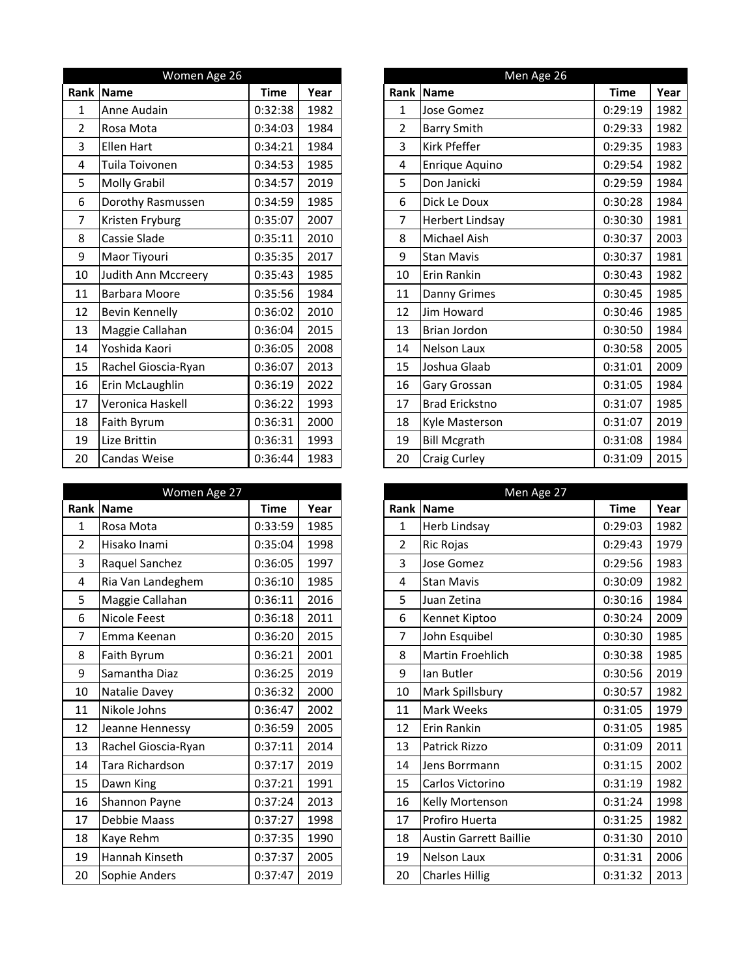| Women Age 26   |                       |             |      |  |  |  |  |  |
|----------------|-----------------------|-------------|------|--|--|--|--|--|
| Rank           | <b>Name</b>           | <b>Time</b> | Year |  |  |  |  |  |
| $\mathbf{1}$   | Anne Audain           | 0:32:38     | 1982 |  |  |  |  |  |
| $\overline{2}$ | Rosa Mota             | 0:34:03     | 1984 |  |  |  |  |  |
| 3              | <b>Ellen Hart</b>     | 0:34:21     | 1984 |  |  |  |  |  |
| 4              | Tuila Toivonen        | 0:34:53     | 1985 |  |  |  |  |  |
| 5              | <b>Molly Grabil</b>   | 0:34:57     | 2019 |  |  |  |  |  |
| 6              | Dorothy Rasmussen     | 0:34:59     | 1985 |  |  |  |  |  |
| $\overline{7}$ | Kristen Fryburg       | 0:35:07     | 2007 |  |  |  |  |  |
| 8              | <b>Cassie Slade</b>   | 0:35:11     | 2010 |  |  |  |  |  |
| 9              | Maor Tiyouri          | 0:35:35     | 2017 |  |  |  |  |  |
| 10             | Judith Ann Mccreery   | 0:35:43     | 1985 |  |  |  |  |  |
| 11             | <b>Barbara Moore</b>  | 0:35:56     | 1984 |  |  |  |  |  |
| 12             | <b>Bevin Kennelly</b> | 0:36:02     | 2010 |  |  |  |  |  |
| 13             | Maggie Callahan       | 0:36:04     | 2015 |  |  |  |  |  |
| 14             | Yoshida Kaori         | 0:36:05     | 2008 |  |  |  |  |  |
| 15             | Rachel Gioscia-Ryan   | 0:36:07     | 2013 |  |  |  |  |  |
| 16             | Erin McLaughlin       | 0:36:19     | 2022 |  |  |  |  |  |
| 17             | Veronica Haskell      | 0:36:22     | 1993 |  |  |  |  |  |
| 18             | Faith Byrum           | 0:36:31     | 2000 |  |  |  |  |  |
| 19             | Lize Brittin          | 0:36:31     | 1993 |  |  |  |  |  |
| 20             | <b>Candas Weise</b>   | 0:36:44     | 1983 |  |  |  |  |  |

| Women Age 27      |                     |             |      |  |                | Men Age 27                    |
|-------------------|---------------------|-------------|------|--|----------------|-------------------------------|
| Rank <sup>I</sup> | <b>Name</b>         | <b>Time</b> | Year |  | <b>Rank</b>    | <b>Name</b>                   |
| $\mathbf 1$       | Rosa Mota           | 0:33:59     | 1985 |  | 1              | Herb Lindsay                  |
| $\overline{2}$    | Hisako Inami        | 0:35:04     | 1998 |  | $\overline{2}$ | Ric Rojas                     |
| 3                 | Raquel Sanchez      | 0:36:05     | 1997 |  | 3              | Jose Gomez                    |
| 4                 | Ria Van Landeghem   | 0:36:10     | 1985 |  | 4              | <b>Stan Mavis</b>             |
| 5                 | Maggie Callahan     | 0:36:11     | 2016 |  | 5              | Juan Zetina                   |
| 6                 | Nicole Feest        | 0:36:18     | 2011 |  | 6              | Kennet Kiptoo                 |
| $\overline{7}$    | Emma Keenan         | 0:36:20     | 2015 |  | $\overline{7}$ | John Esquibel                 |
| 8                 | Faith Byrum         | 0:36:21     | 2001 |  | 8              | Martin Froehlich              |
| 9                 | Samantha Diaz       | 0:36:25     | 2019 |  | 9              | lan Butler                    |
| 10                | Natalie Davey       | 0:36:32     | 2000 |  | 10             | Mark Spillsbury               |
| 11                | Nikole Johns        | 0:36:47     | 2002 |  | 11             | Mark Weeks                    |
| 12                | Jeanne Hennessy     | 0:36:59     | 2005 |  | 12             | Erin Rankin                   |
| 13                | Rachel Gioscia-Ryan | 0:37:11     | 2014 |  | 13             | Patrick Rizzo                 |
| 14                | Tara Richardson     | 0:37:17     | 2019 |  | 14             | Jens Borrmann                 |
| 15                | Dawn King           | 0:37:21     | 1991 |  | 15             | Carlos Victorino              |
| 16                | Shannon Payne       | 0:37:24     | 2013 |  | 16             | Kelly Mortenson               |
| 17                | Debbie Maass        | 0:37:27     | 1998 |  | 17             | Profiro Huerta                |
| 18                | Kaye Rehm           | 0:37:35     | 1990 |  | 18             | <b>Austin Garrett Baillie</b> |
| 19                | Hannah Kinseth      | 0:37:37     | 2005 |  | 19             | Nelson Laux                   |
| 20                | Sophie Anders       | 0:37:47     | 2019 |  | 20             | <b>Charles Hillig</b>         |

| Women Age 26   |                       |             |      |                | Men Age 26             |             |      |
|----------------|-----------------------|-------------|------|----------------|------------------------|-------------|------|
| Rank           | Name                  | <b>Time</b> | Year | Rank           | Name                   | <b>Time</b> | Year |
| 1              | Anne Audain           | 0:32:38     | 1982 | $\mathbf{1}$   | Jose Gomez             | 0:29:19     | 1982 |
| $\overline{2}$ | Rosa Mota             | 0:34:03     | 1984 | $\overline{2}$ | <b>Barry Smith</b>     | 0:29:33     | 1982 |
| 3              | <b>Ellen Hart</b>     | 0:34:21     | 1984 | 3              | Kirk Pfeffer           | 0:29:35     | 1983 |
| 4              | Tuila Toivonen        | 0:34:53     | 1985 | $\overline{4}$ | Enrique Aquino         | 0:29:54     | 1982 |
| 5              | <b>Molly Grabil</b>   | 0:34:57     | 2019 | 5              | Don Janicki            | 0:29:59     | 1984 |
| 6              | Dorothy Rasmussen     | 0:34:59     | 1985 | 6              | Dick Le Doux           | 0:30:28     | 1984 |
| 7              | Kristen Fryburg       | 0:35:07     | 2007 | $\overline{7}$ | <b>Herbert Lindsay</b> | 0:30:30     | 1981 |
| 8              | Cassie Slade          | 0:35:11     | 2010 | 8              | Michael Aish           | 0:30:37     | 2003 |
| 9              | Maor Tiyouri          | 0:35:35     | 2017 | 9              | <b>Stan Mavis</b>      | 0:30:37     | 1981 |
| 10             | Judith Ann Mccreery   | 0:35:43     | 1985 | 10             | Erin Rankin            | 0:30:43     | 1982 |
| 11             | <b>Barbara Moore</b>  | 0:35:56     | 1984 | 11             | Danny Grimes           | 0:30:45     | 1985 |
| 12             | <b>Bevin Kennelly</b> | 0:36:02     | 2010 | 12             | Jim Howard             | 0:30:46     | 1985 |
| 13             | Maggie Callahan       | 0:36:04     | 2015 | 13             | <b>Brian Jordon</b>    | 0:30:50     | 1984 |
| 14             | Yoshida Kaori         | 0:36:05     | 2008 | 14             | <b>Nelson Laux</b>     | 0:30:58     | 2005 |
| 15             | Rachel Gioscia-Ryan   | 0:36:07     | 2013 | 15             | Joshua Glaab           | 0:31:01     | 2009 |
| 16             | Erin McLaughlin       | 0:36:19     | 2022 | 16             | Gary Grossan           | 0:31:05     | 1984 |
| 17             | Veronica Haskell      | 0:36:22     | 1993 | 17             | <b>Brad Erickstno</b>  | 0:31:07     | 1985 |
| 18             | Faith Byrum           | 0:36:31     | 2000 | 18             | Kyle Masterson         | 0:31:07     | 2019 |
| 19             | Lize Brittin          | 0:36:31     | 1993 | 19             | <b>Bill Mcgrath</b>    | 0:31:08     | 1984 |
| 20             | <b>Candas Weise</b>   | 0:36:44     | 1983 | 20             | Craig Curley           | 0:31:09     | 2015 |

| Women Age 27   |                     |             |      | Men Age 27     |                               |             |      |
|----------------|---------------------|-------------|------|----------------|-------------------------------|-------------|------|
| Rank           | Name                | <b>Time</b> | Year | <b>Rank</b>    | <b>Name</b>                   | <b>Time</b> | Year |
| 1              | Rosa Mota           | 0:33:59     | 1985 | $\mathbf{1}$   | Herb Lindsay                  | 0:29:03     | 1982 |
| $\overline{2}$ | Hisako Inami        | 0:35:04     | 1998 | $\overline{2}$ | <b>Ric Rojas</b>              | 0:29:43     | 1979 |
| 3              | Raquel Sanchez      | 0:36:05     | 1997 | 3              | Jose Gomez                    | 0:29:56     | 1983 |
| 4              | Ria Van Landeghem   | 0:36:10     | 1985 | 4              | <b>Stan Mavis</b>             | 0:30:09     | 1982 |
| 5              | Maggie Callahan     | 0:36:11     | 2016 | 5              | Juan Zetina                   | 0:30:16     | 1984 |
| 6              | Nicole Feest        | 0:36:18     | 2011 | 6              | Kennet Kiptoo                 | 0:30:24     | 2009 |
| 7              | Emma Keenan         | 0:36:20     | 2015 | $\overline{7}$ | John Esquibel                 | 0:30:30     | 1985 |
| 8              | Faith Byrum         | 0:36:21     | 2001 | 8              | Martin Froehlich              | 0:30:38     | 1985 |
| 9              | Samantha Diaz       | 0:36:25     | 2019 | 9              | Ian Butler                    | 0:30:56     | 2019 |
| 10             | Natalie Davey       | 0:36:32     | 2000 | 10             | <b>Mark Spillsbury</b>        | 0:30:57     | 1982 |
| 11             | Nikole Johns        | 0:36:47     | 2002 | 11             | Mark Weeks                    | 0:31:05     | 1979 |
| 12             | Jeanne Hennessy     | 0:36:59     | 2005 | 12             | Erin Rankin                   | 0:31:05     | 1985 |
| 13             | Rachel Gioscia-Ryan | 0:37:11     | 2014 | 13             | Patrick Rizzo                 | 0:31:09     | 2011 |
| 14             | Tara Richardson     | 0:37:17     | 2019 | 14             | Jens Borrmann                 | 0:31:15     | 2002 |
| 15             | Dawn King           | 0:37:21     | 1991 | 15             | Carlos Victorino              | 0:31:19     | 1982 |
| 16             | Shannon Payne       | 0:37:24     | 2013 | 16             | <b>Kelly Mortenson</b>        | 0:31:24     | 1998 |
| 17             | Debbie Maass        | 0:37:27     | 1998 | 17             | Profiro Huerta                | 0:31:25     | 1982 |
| 18             | Kaye Rehm           | 0:37:35     | 1990 | 18             | <b>Austin Garrett Baillie</b> | 0:31:30     | 2010 |
| 19             | Hannah Kinseth      | 0:37:37     | 2005 | 19             | <b>Nelson Laux</b>            | 0:31:31     | 2006 |
| 20             | Sophie Anders       | 0:37:47     | 2019 | 20             | <b>Charles Hillig</b>         | 0:31:32     | 2013 |